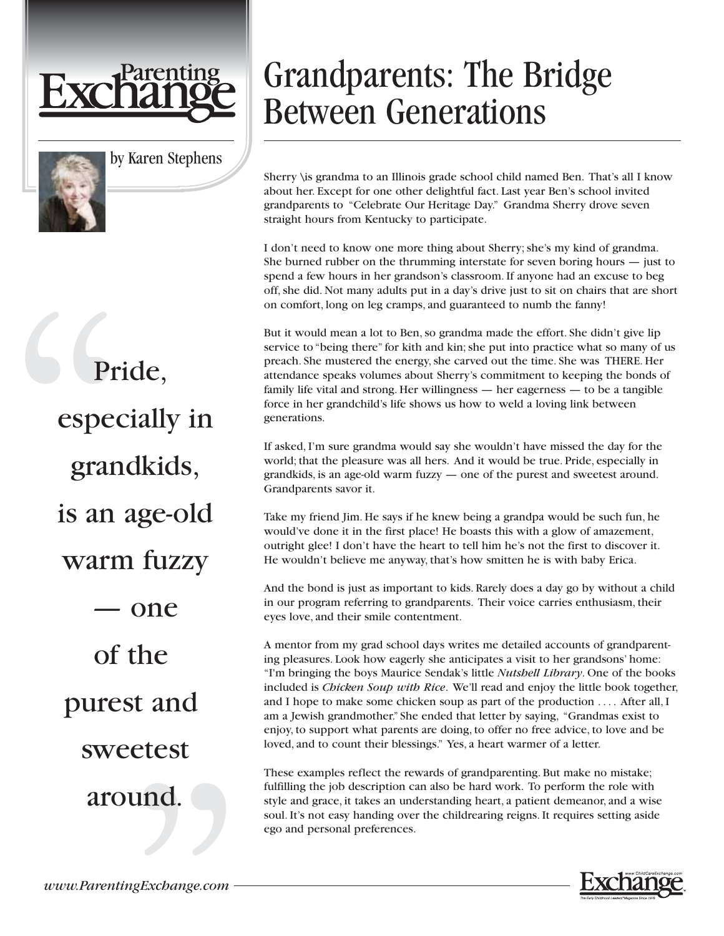



by Karen Stephens

## Grandparents: The Bridge Between Generations

Sherry \is grandma to an Illinois grade school child named Ben. That's all I know about her. Except for one other delightful fact. Last year Ben's school invited grandparents to "Celebrate Our Heritage Day." Grandma Sherry drove seven straight hours from Kentucky to participate.

I don't need to know one more thing about Sherry; she's my kind of grandma. She burned rubber on the thrumming interstate for seven boring hours — just to spend a few hours in her grandson's classroom. If anyone had an excuse to beg off, she did. Not many adults put in a day's drive just to sit on chairs that are short on comfort, long on leg cramps, and guaranteed to numb the fanny!

But it would mean a lot to Ben, so grandma made the effort. She didn't give lip service to "being there" for kith and kin; she put into practice what so many of us preach. She mustered the energy, she carved out the time. She was THERE. Her attendance speaks volumes about Sherry's commitment to keeping the bonds of family life vital and strong. Her willingness — her eagerness — to be a tangible force in her grandchild's life shows us how to weld a loving link between generations.

If asked, I'm sure grandma would say she wouldn't have missed the day for the world; that the pleasure was all hers. And it would be true. Pride, especially in grandkids, is an age-old warm fuzzy — one of the purest and sweetest around. Grandparents savor it.

Take my friend Jim. He says if he knew being a grandpa would be such fun, he would've done it in the first place! He boasts this with a glow of amazement, outright glee! I don't have the heart to tell him he's not the first to discover it. He wouldn't believe me anyway, that's how smitten he is with baby Erica.

And the bond is just as important to kids. Rarely does a day go by without a child in our program referring to grandparents. Their voice carries enthusiasm, their eyes love, and their smile contentment.

A mentor from my grad school days writes me detailed accounts of grandparenting pleasures. Look how eagerly she anticipates a visit to her grandsons' home: "I'm bringing the boys Maurice Sendak's little *Nutshell Library*. One of the books included is *Chicken Soup with Rice*. We'll read and enjoy the little book together, and I hope to make some chicken soup as part of the production .... After all, I am a Jewish grandmother." She ended that letter by saying, "Grandmas exist to enjoy, to support what parents are doing, to offer no free advice, to love and be loved, and to count their blessings." Yes, a heart warmer of a letter.

These examples reflect the rewards of grandparenting. But make no mistake; fulfilling the job description can also be hard work. To perform the role with style and grace, it takes an understanding heart, a patient demeanor, and a wise soul. It's not easy handing over the childrearing reigns. It requires setting aside ego and personal preferences.



Pride, especially in grandkids, is an age-old warm fuzzy — one of the purest and sweetest around.